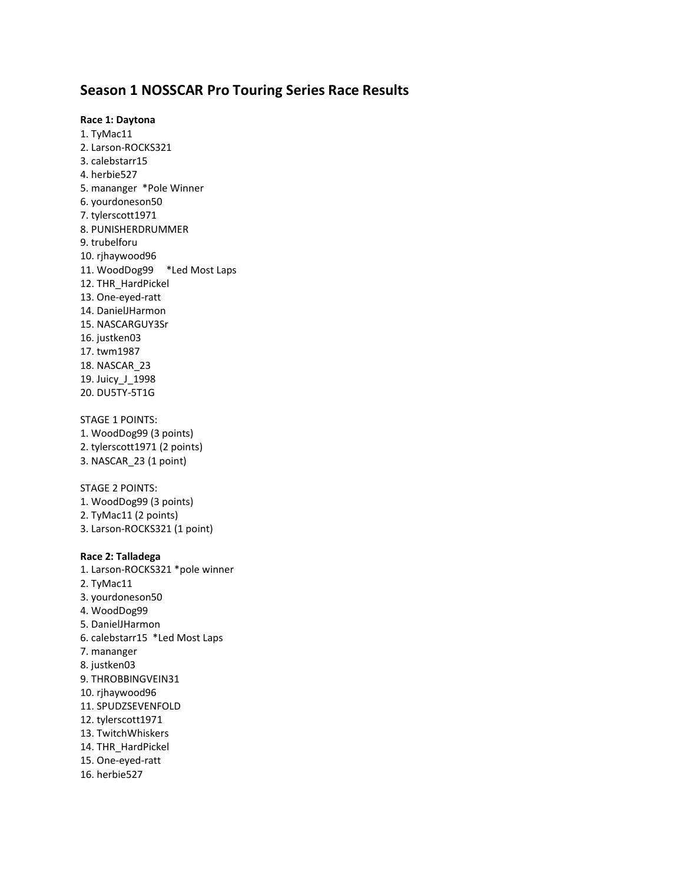## **Season 1 NOSSCAR Pro Touring Series Race Results**

#### **Race 1: Daytona**

1. TyMac11 2. Larson-ROCKS321 3. calebstarr15 4. herbie527 5. mananger \*Pole Winner 6. yourdoneson50 7. tylerscott1971 8. PUNISHERDRUMMER 9. trubelforu 10. rjhaywood96 11. WoodDog99 \*Led Most Laps 12. THR\_HardPickel 13. One-eyed-ratt 14. DanielJHarmon 15. NASCARGUY3Sr 16. justken03 17. twm1987 18. NASCAR\_23 19. Juicy\_J\_1998 20. DU5TY-5T1G

### STAGE 1 POINTS:

1. WoodDog99 (3 points) 2. tylerscott1971 (2 points) 3. NASCAR\_23 (1 point)

## STAGE 2 POINTS:

1. WoodDog99 (3 points) 2. TyMac11 (2 points) 3. Larson-ROCKS321 (1 point)

### **Race 2: Talladega**

- 1. Larson-ROCKS321 \*pole winner
- 2. TyMac11
- 3. yourdoneson50
- 4. WoodDog99
- 5. DanielJHarmon
- 6. calebstarr15 \*Led Most Laps
- 7. mananger
- 8. justken03
- 9. THROBBINGVEIN31
- 10. rjhaywood96
- 11. SPUDZSEVENFOLD
- 12. tylerscott1971
- 13. TwitchWhiskers
- 14. THR\_HardPickel
- 15. One-eyed-ratt
- 16. herbie527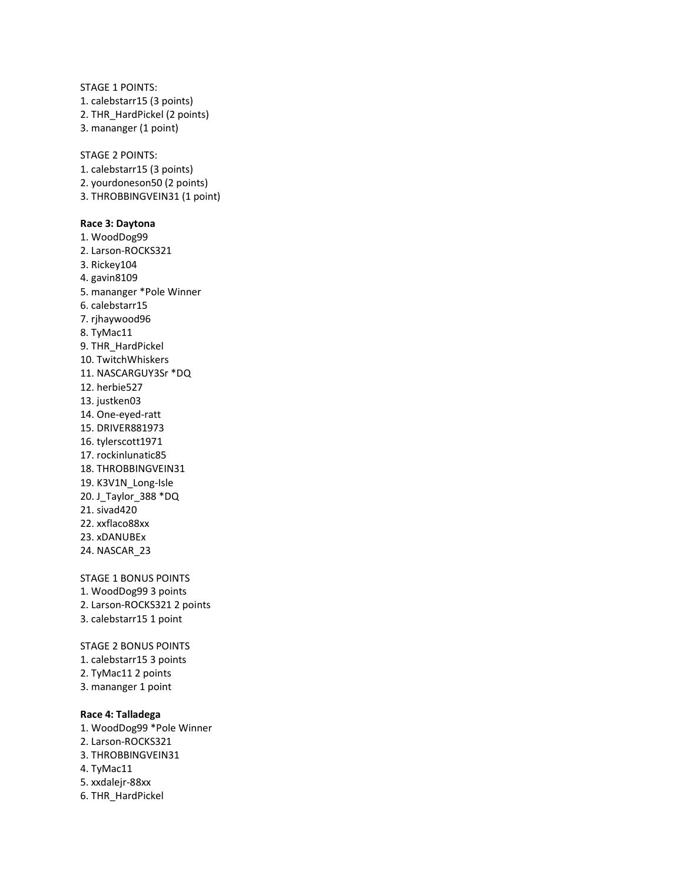STAGE 1 POINTS: 1. calebstarr15 (3 points) 2. THR\_HardPickel (2 points) 3. mananger (1 point)

STAGE 2 POINTS: 1. calebstarr15 (3 points) 2. yourdoneson50 (2 points) 3. THROBBINGVEIN31 (1 point)

#### **Race 3: Daytona**

1. WoodDog99 2. Larson-ROCKS321 3. Rickey104 4. gavin8109 5. mananger \*Pole Winner 6. calebstarr15 7. rjhaywood96 8. TyMac11 9. THR\_HardPickel 10. TwitchWhiskers 11. NASCARGUY3Sr \*DQ 12. herbie527 13. justken03 14. One-eyed-ratt 15. DRIVER881973 16. tylerscott1971 17. rockinlunatic85 18. THROBBINGVEIN31 19. K3V1N\_Long-Isle 20. J\_Taylor\_388 \*DQ 21. sivad420 22. xxflaco88xx 23. xDANUBEx 24. NASCAR\_23

STAGE 1 BONUS POINTS 1. WoodDog99 3 points 2. Larson-ROCKS321 2 points 3. calebstarr15 1 point

STAGE 2 BONUS POINTS 1. calebstarr15 3 points 2. TyMac11 2 points 3. mananger 1 point

### **Race 4: Talladega**

- 1. WoodDog99 \*Pole Winner 2. Larson-ROCKS321 3. THROBBINGVEIN31 4. TyMac11 5. xxdalejr-88xx
- 6. THR\_HardPickel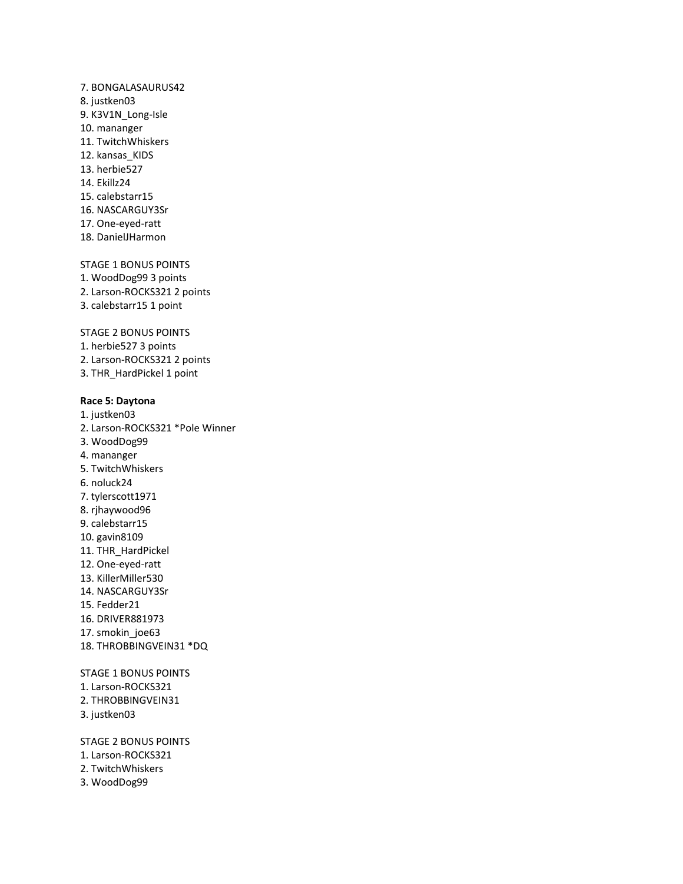7. BONGALASAURUS42 8. justken03 9. K3V1N\_Long-Isle 10. mananger 11. TwitchWhiskers 12. kansas KIDS 13. herbie527 14. Ekillz24 15. calebstarr15 16. NASCARGUY3Sr 17. One-eyed-ratt 18. DanielJHarmon

STAGE 1 BONUS POINTS 1. WoodDog99 3 points 2. Larson-ROCKS321 2 points 3. calebstarr15 1 point

STAGE 2 BONUS POINTS 1. herbie527 3 points 2. Larson-ROCKS321 2 points 3. THR\_HardPickel 1 point

### **Race 5: Daytona**

1. justken03 2. Larson-ROCKS321 \*Pole Winner 3. WoodDog99 4. mananger 5. TwitchWhiskers 6. noluck24 7. tylerscott1971 8. rjhaywood96 9. calebstarr15 10. gavin8109 11. THR\_HardPickel 12. One-eyed-ratt 13. KillerMiller530 14. NASCARGUY3Sr 15. Fedder21 16. DRIVER881973 17. smokin\_joe63 18. THROBBINGVEIN31 \*DQ STAGE 1 BONUS POINTS

- 1. Larson-ROCKS321
- 2. THROBBINGVEIN31
- 3. justken03

STAGE 2 BONUS POINTS

- 1. Larson-ROCKS321
- 2. TwitchWhiskers
- 3. WoodDog99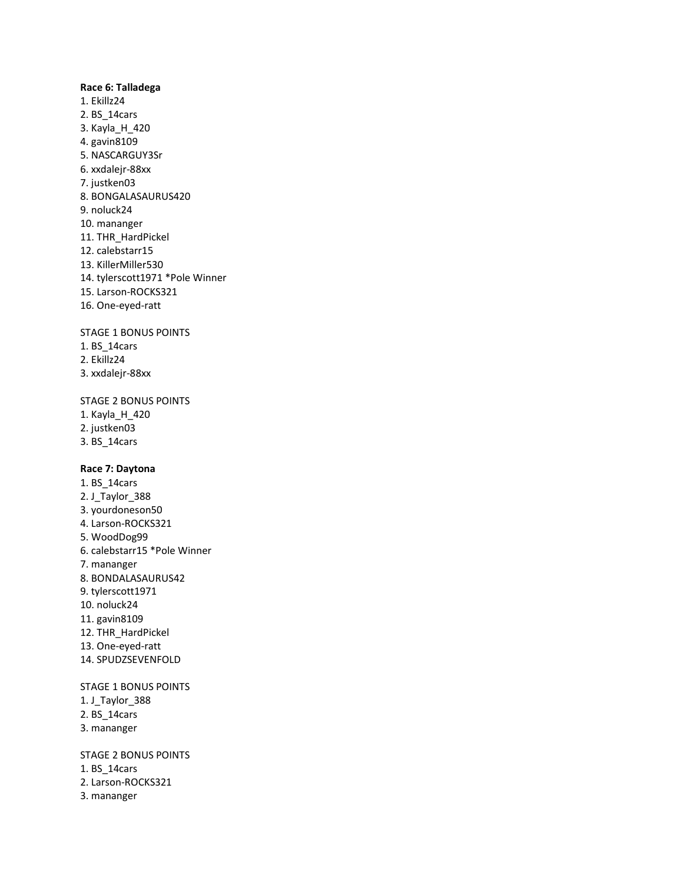### **Race 6: Talladega**

1. Ekillz24 2. BS\_14cars 3. Kayla\_H\_420 4. gavin8109 5. NASCARGUY3Sr 6. xxdalejr-88xx 7. justken03 8. BONGALASAURUS420 9. noluck24 10. mananger 11. THR\_HardPickel 12. calebstarr15 13. KillerMiller530 14. tylerscott1971 \*Pole Winner 15. Larson-ROCKS321 16. One-eyed-ratt

STAGE 1 BONUS POINTS

- 1. BS\_14cars
- 2. Ekillz24
- 3. xxdalejr-88xx

STAGE 2 BONUS POINTS

- 1. Kayla\_H\_420
- 2. justken03
- 3. BS\_14cars

### **Race 7: Daytona**

1. BS\_14cars 2. J\_Taylor\_388 3. yourdoneson50 4. Larson-ROCKS321 5. WoodDog99 6. calebstarr15 \*Pole Winner 7. mananger 8. BONDALASAURUS42 9. tylerscott1971 10. noluck24 11. gavin8109 12. THR\_HardPickel 13. One-eyed-ratt 14. SPUDZSEVENFOLD

STAGE 1 BONUS POINTS

- 1. J\_Taylor\_388
- 2. BS\_14cars
- 3. mananger

STAGE 2 BONUS POINTS 1. BS\_14cars 2. Larson-ROCKS321 3. mananger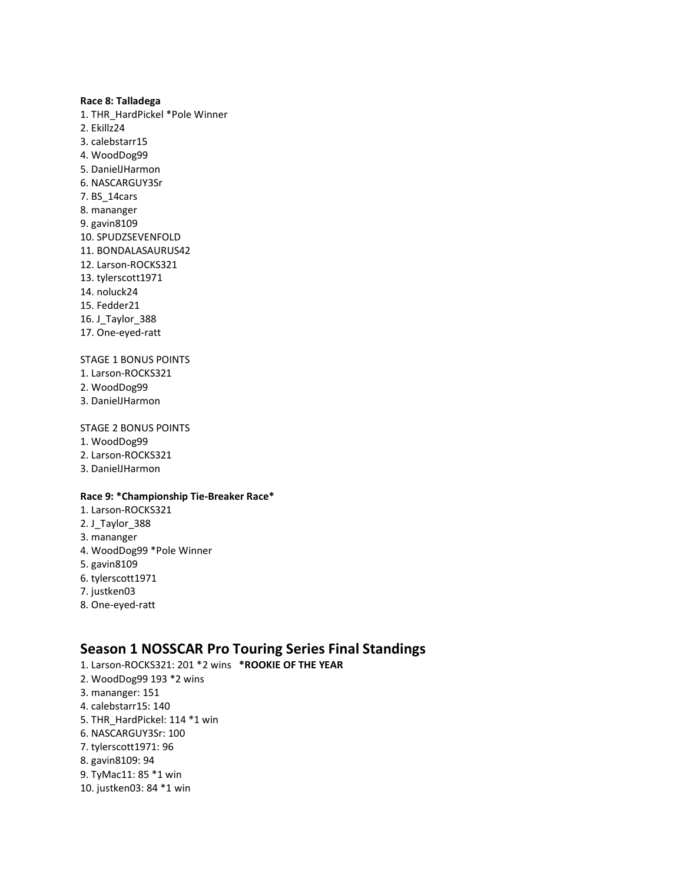### **Race 8: Talladega**

1. THR\_HardPickel \*Pole Winner 2. Ekillz24 3. calebstarr15 4. WoodDog99 5. DanielJHarmon 6. NASCARGUY3Sr 7. BS\_14cars 8. mananger 9. gavin8109 10. SPUDZSEVENFOLD 11. BONDALASAURUS42 12. Larson-ROCKS321 13. tylerscott1971 14. noluck24 15. Fedder21 16. J\_Taylor\_388 17. One-eyed-ratt

## STAGE 1 BONUS POINTS

- 1. Larson-ROCKS321
- 2. WoodDog99
- 3. DanielJHarmon

### STAGE 2 BONUS POINTS

- 1. WoodDog99
- 2. Larson-ROCKS321
- 3. DanielJHarmon

## **Race 9: \*Championship Tie-Breaker Race\***

1. Larson-ROCKS321 2. J Taylor 388 3. mananger 4. WoodDog99 \*Pole Winner 5. gavin8109 6. tylerscott1971 7. justken03 8. One-eyed-ratt

## **Season 1 NOSSCAR Pro Touring Series Final Standings**

- 1. Larson-ROCKS321: 201 \*2 wins **\*ROOKIE OF THE YEAR**
- 2. WoodDog99 193 \*2 wins
- 3. mananger: 151
- 4. calebstarr15: 140
- 5. THR\_HardPickel: 114 \*1 win
- 6. NASCARGUY3Sr: 100
- 7. tylerscott1971: 96
- 8. gavin8109: 94
- 9. TyMac11: 85 \*1 win
- 10. justken03: 84 \*1 win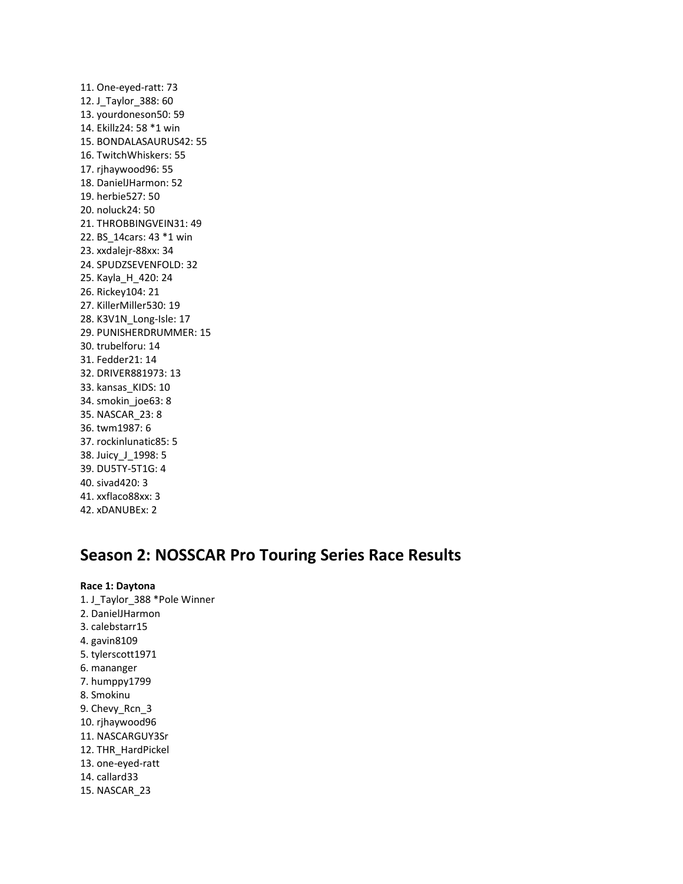11. One-eyed-ratt: 73 12. J\_Taylor\_388: 60 13. yourdoneson50: 59 14. Ekillz24: 58 \*1 win 15. BONDALASAURUS42: 55 16. TwitchWhiskers: 55 17. rjhaywood96: 55 18. DanielJHarmon: 52 19. herbie527: 50 20. noluck24: 50 21. THROBBINGVEIN31: 49 22. BS\_14cars: 43 \*1 win 23. xxdalejr-88xx: 34 24. SPUDZSEVENFOLD: 32 25. Kayla\_H\_420: 24 26. Rickey104: 21 27. KillerMiller530: 19 28. K3V1N\_Long-Isle: 17 29. PUNISHERDRUMMER: 15 30. trubelforu: 14 31. Fedder21: 14 32. DRIVER881973: 13 33. kansas\_KIDS: 10 34. smokin\_joe63: 8 35. NASCAR\_23: 8 36. twm1987: 6 37. rockinlunatic85: 5 38. Juicy\_J\_1998: 5 39. DU5TY-5T1G: 4 40. sivad420: 3 41. xxflaco88xx: 3 42. xDANUBEx: 2

# **Season 2: NOSSCAR Pro Touring Series Race Results**

**Race 1: Daytona** 1. J\_Taylor\_388 \*Pole Winner 2. DanielJHarmon 3. calebstarr15 4. gavin8109 5. tylerscott1971 6. mananger 7. humppy1799 8. Smokinu 9. Chevy\_Rcn\_3 10. rjhaywood96 11. NASCARGUY3Sr 12. THR\_HardPickel 13. one-eyed-ratt 14. callard33 15. NASCAR\_23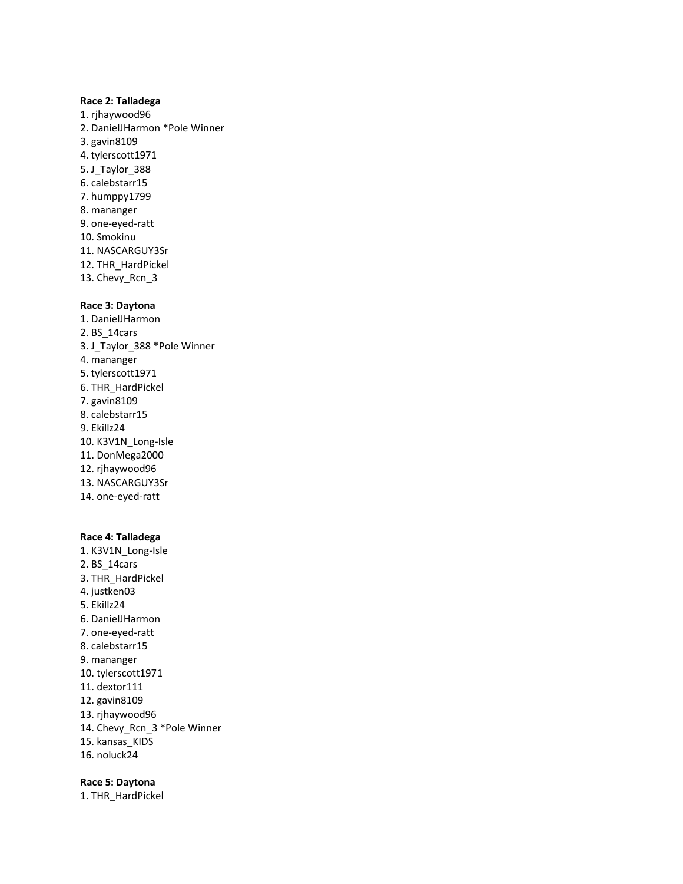### **Race 2: Talladega**

1. rjhaywood96 2. DanielJHarmon \*Pole Winner 3. gavin8109 4. tylerscott1971 5. J\_Taylor\_388 6. calebstarr15 7. humppy1799 8. mananger 9. one-eyed-ratt 10. Smokinu 11. NASCARGUY3Sr 12. THR\_HardPickel 13. Chevy\_Rcn\_3

#### **Race 3: Daytona**

1. DanielJHarmon 2. BS\_14cars 3. J\_Taylor\_388 \*Pole Winner 4. mananger 5. tylerscott1971 6. THR\_HardPickel 7. gavin8109 8. calebstarr15 9. Ekillz24 10. K3V1N\_Long-Isle 11. DonMega2000 12. rjhaywood96 13. NASCARGUY3Sr 14. one-eyed-ratt

#### **Race 4: Talladega**

1. K3V1N\_Long-Isle 2. BS\_14cars 3. THR\_HardPickel 4. justken03 5. Ekillz24 6. DanielJHarmon 7. one-eyed-ratt 8. calebstarr15 9. mananger 10. tylerscott1971 11. dextor111 12. gavin8109 13. rjhaywood96 14. Chevy\_Rcn\_3 \*Pole Winner 15. kansas\_KIDS 16. noluck24

### **Race 5: Daytona**

1. THR\_HardPickel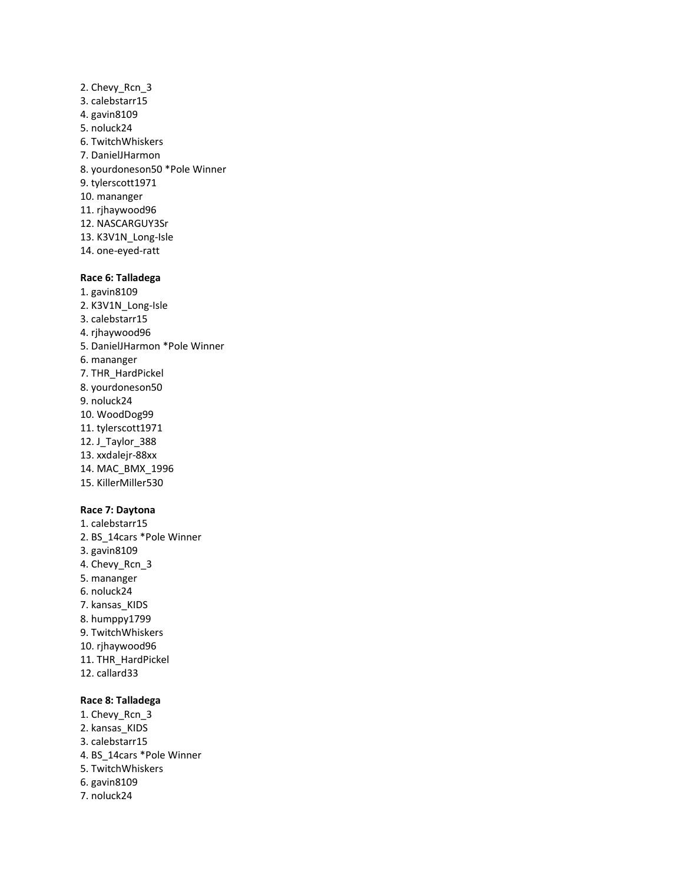2. Chevy\_Rcn\_3 3. calebstarr15 4. gavin8109 5. noluck24 6. TwitchWhiskers 7. DanielJHarmon 8. yourdoneson50 \*Pole Winner 9. tylerscott1971 10. mananger 11. rjhaywood96 12. NASCARGUY3Sr 13. K3V1N\_Long-Isle 14. one-eyed-ratt

## **Race 6: Talladega**

1. gavin8109 2. K3V1N\_Long-Isle 3. calebstarr15 4. rjhaywood96 5. DanielJHarmon \*Pole Winner 6. mananger 7. THR\_HardPickel 8. yourdoneson50 9. noluck24 10. WoodDog99 11. tylerscott1971 12. J\_Taylor\_388 13. xxdalejr-88xx 14. MAC\_BMX\_1996 15. KillerMiller530

#### **Race 7: Daytona**

1. calebstarr15 2. BS\_14cars \*Pole Winner 3. gavin8109 4. Chevy\_Rcn\_3 5. mananger 6. noluck24 7. kansas\_KIDS 8. humppy1799 9. TwitchWhiskers 10. rjhaywood96 11. THR\_HardPickel 12. callard33

## **Race 8: Talladega**

- 1. Chevy\_Rcn\_3 2. kansas\_KIDS 3. calebstarr15 4. BS\_14cars \*Pole Winner 5. TwitchWhiskers 6. gavin8109
- 7. noluck24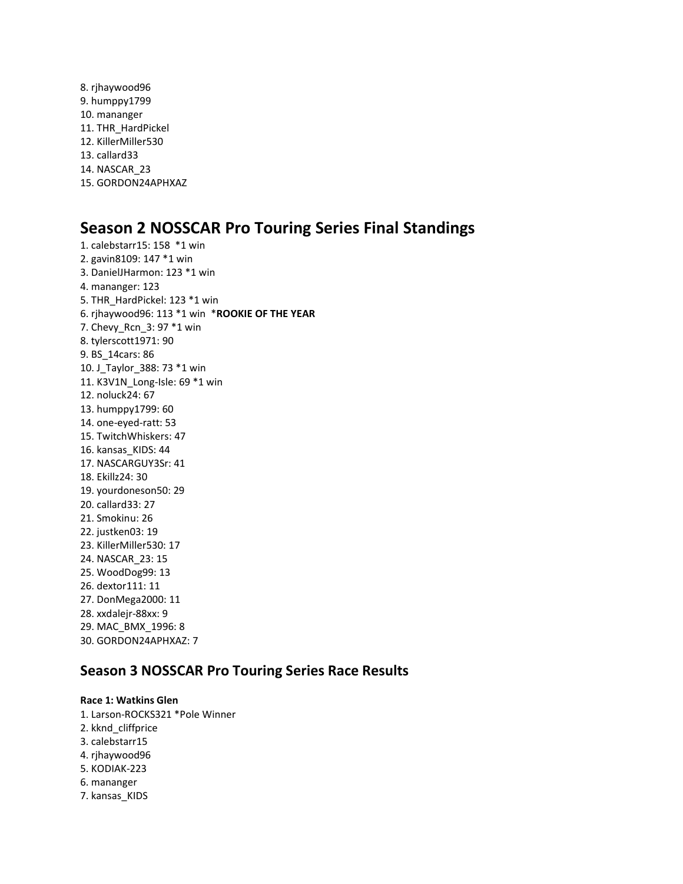8. rjhaywood96 9. humppy1799 10. mananger 11. THR\_HardPickel 12. KillerMiller530 13. callard33 14. NASCAR\_23 15. GORDON24APHXAZ

# **Season 2 NOSSCAR Pro Touring Series Final Standings**

1. calebstarr15: 158 \*1 win 2. gavin8109: 147 \*1 win 3. DanielJHarmon: 123 \*1 win 4. mananger: 123 5. THR\_HardPickel: 123 \*1 win 6. rjhaywood96: 113 \*1 win \***ROOKIE OF THE YEAR** 7. Chevy\_Rcn\_3: 97 \*1 win 8. tylerscott1971: 90 9. BS\_14cars: 86 10. J\_Taylor\_388: 73 \*1 win 11. K3V1N\_Long-Isle: 69 \*1 win 12. noluck24: 67 13. humppy1799: 60 14. one-eyed-ratt: 53 15. TwitchWhiskers: 47 16. kansas\_KIDS: 44 17. NASCARGUY3Sr: 41 18. Ekillz24: 30 19. yourdoneson50: 29 20. callard33: 27 21. Smokinu: 26 22. justken03: 19 23. KillerMiller530: 17 24. NASCAR\_23: 15 25. WoodDog99: 13 26. dextor111: 11 27. DonMega2000: 11 28. xxdalejr-88xx: 9 29. MAC\_BMX\_1996: 8 30. GORDON24APHXAZ: 7

## **Season 3 NOSSCAR Pro Touring Series Race Results**

#### **Race 1: Watkins Glen**

1. Larson-ROCKS321 \*Pole Winner 2. kknd\_cliffprice 3. calebstarr15 4. rjhaywood96 5. KODIAK-223 6. mananger 7. kansas\_KIDS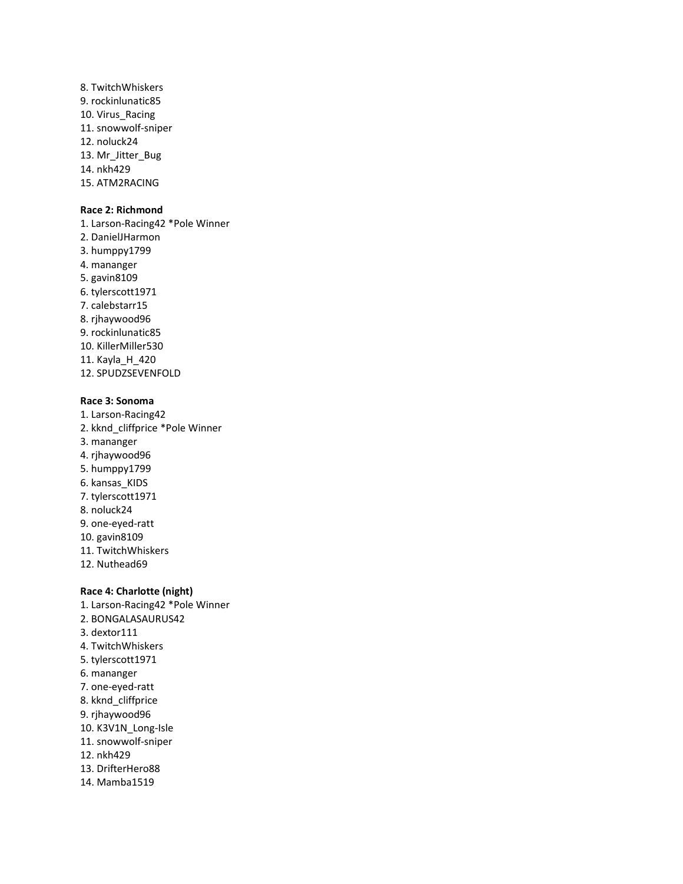8. TwitchWhiskers 9. rockinlunatic85 10. Virus Racing 11. snowwolf-sniper 12. noluck24 13. Mr\_Jitter\_Bug 14. nkh429 15. ATM2RACING

#### **Race 2: Richmond**

1. Larson-Racing42 \*Pole Winner 2. DanielJHarmon 3. humppy1799 4. mananger 5. gavin8109 6. tylerscott1971 7. calebstarr15 8. rjhaywood96 9. rockinlunatic85 10. KillerMiller530 11. Kayla\_H\_420 12. SPUDZSEVENFOLD

#### **Race 3: Sonoma**

1. Larson-Racing42 2. kknd\_cliffprice \*Pole Winner 3. mananger 4. rjhaywood96 5. humppy1799 6. kansas\_KIDS 7. tylerscott1971 8. noluck24 9. one-eyed-ratt 10. gavin8109 11. TwitchWhiskers 12. Nuthead69

#### **Race 4: Charlotte (night)**

1. Larson-Racing42 \*Pole Winner 2. BONGALASAURUS42 3. dextor111 4. TwitchWhiskers 5. tylerscott1971 6. mananger 7. one-eyed-ratt 8. kknd\_cliffprice 9. rjhaywood96 10. K3V1N\_Long-Isle 11. snowwolf-sniper 12. nkh429 13. DrifterHero88 14. Mamba1519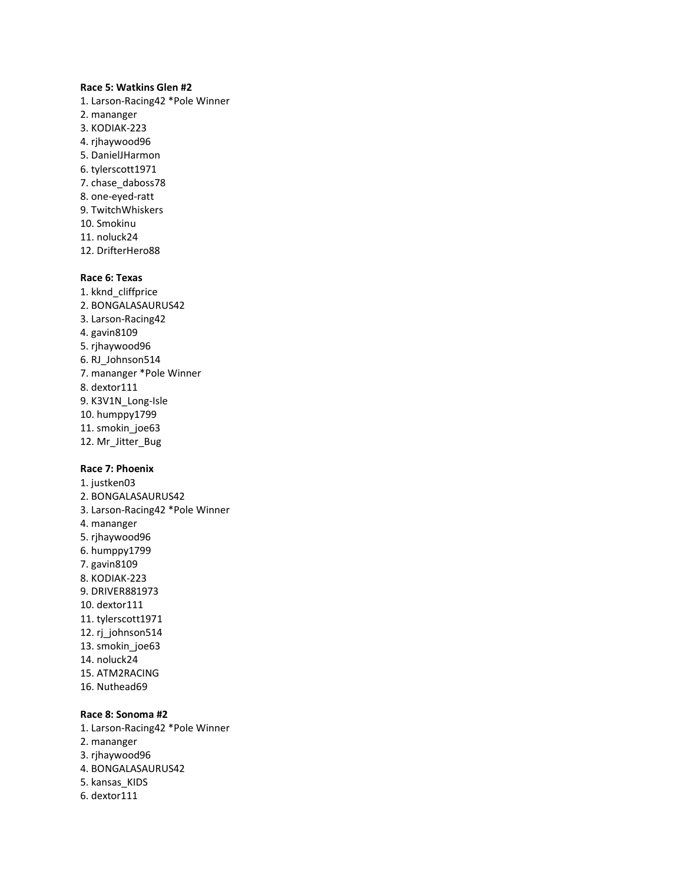#### **Race 5: Watkins Glen #2**

- 1. Larson-Racing42 \*Pole Winner
- 2. mananger
- 3. KODIAK-223
- 4. rjhaywood96
- 5. DanielJHarmon
- 6. tylerscott1971
- 7. chase\_daboss78
- 8. one-eyed-ratt
- 9. TwitchWhiskers
- 10. Smokinu
- 11. noluck24
- 12. DrifterHero88

### **Race 6: Texas**

- 1. kknd\_cliffprice 2. BONGALASAURUS42 3. Larson-Racing42 4. gavin8109 5. rjhaywood96 6. RJ\_Johnson514 7. mananger \*Pole Winner 8. dextor111 9. K3V1N\_Long-Isle 10. humppy1799 11. smokin\_joe63
- 12. Mr\_Jitter\_Bug

## **Race 7: Phoenix**

1. justken03 2. BONGALASAURUS42 3. Larson-Racing42 \*Pole Winner 4. mananger 5. rjhaywood96 6. humppy1799 7. gavin8109 8. KODIAK-223 9. DRIVER881973 10. dextor111 11. tylerscott1971 12. rj\_johnson514 13. smokin\_joe63 14. noluck24 15. ATM2RACING 16. Nuthead69

## **Race 8: Sonoma #2**

1. Larson-Racing42 \*Pole Winner 2. mananger 3. rjhaywood96 4. BONGALASAURUS42 5. kansas\_KIDS 6. dextor111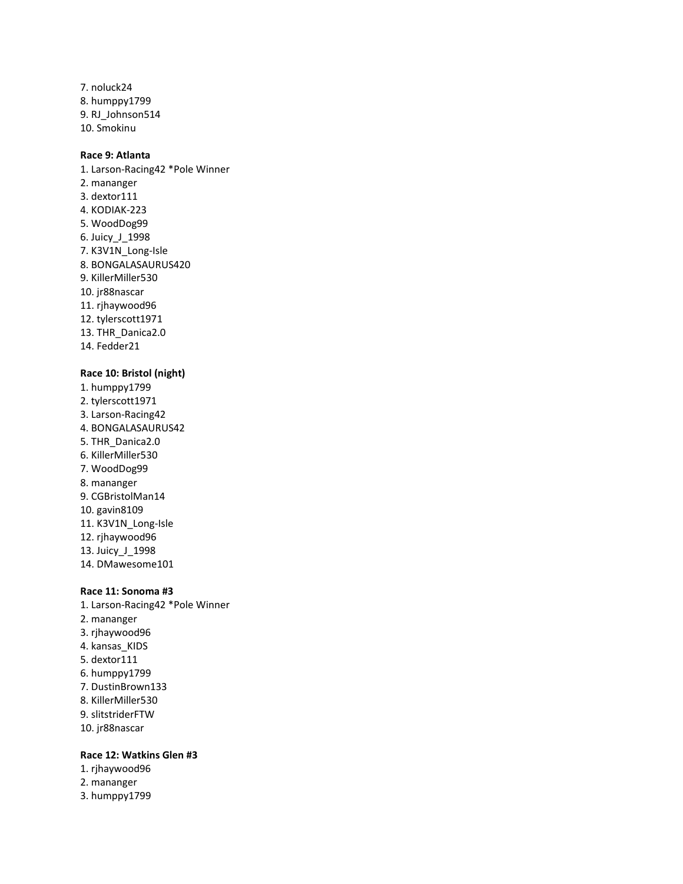7. noluck24 8. humppy1799 9. RJ\_Johnson514 10. Smokinu

## **Race 9: Atlanta**

1. Larson-Racing42 \*Pole Winner 2. mananger 3. dextor111 4. KODIAK-223 5. WoodDog99 6. Juicy\_J\_1998 7. K3V1N\_Long-Isle 8. BONGALASAURUS420 9. KillerMiller530 10. jr88nascar 11. rjhaywood96 12. tylerscott1971 13. THR\_Danica2.0 14. Fedder21

### **Race 10: Bristol (night)**

1. humppy1799 2. tylerscott1971 3. Larson-Racing42 4. BONGALASAURUS42 5. THR\_Danica2.0 6. KillerMiller530 7. WoodDog99 8. mananger 9. CGBristolMan14 10. gavin8109 11. K3V1N\_Long-Isle 12. rjhaywood96 13. Juicy\_J\_1998 14. DMawesome101

#### **Race 11: Sonoma #3**

1. Larson-Racing42 \*Pole Winner 2. mananger 3. rjhaywood96 4. kansas\_KIDS 5. dextor111 6. humppy1799 7. DustinBrown133 8. KillerMiller530 9. slitstriderFTW 10. jr88nascar

## **Race 12: Watkins Glen #3**

- 1. rjhaywood96
- 2. mananger
- 3. humppy1799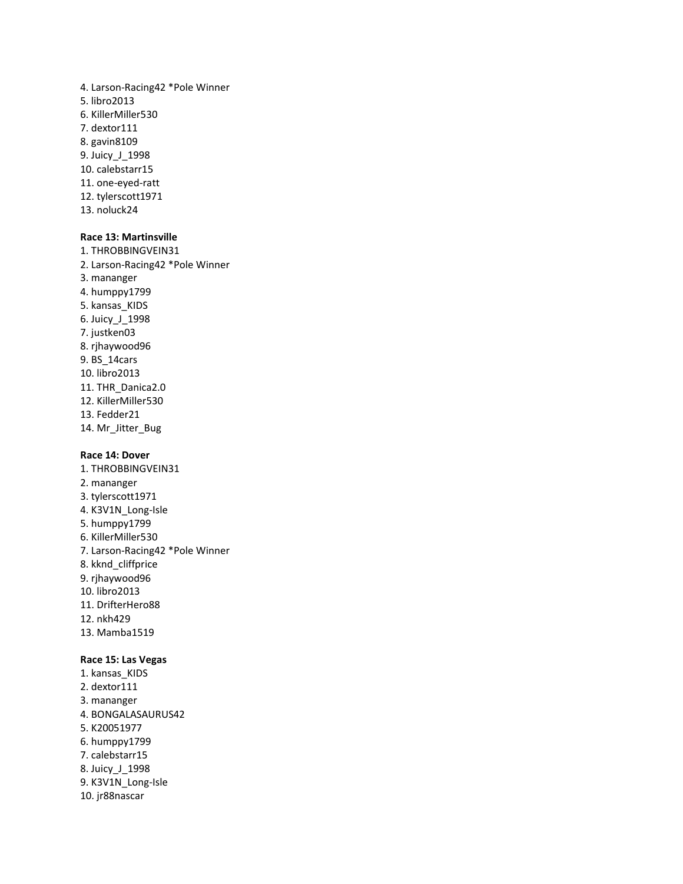- 4. Larson-Racing42 \*Pole Winner 5. libro2013 6. KillerMiller530 7. dextor111 8. gavin8109 9. Juicy\_J\_1998 10. calebstarr15 11. one-eyed-ratt 12. tylerscott1971
- 13. noluck24

## **Race 13: Martinsville**

1. THROBBINGVEIN31 2. Larson-Racing42 \*Pole Winner 3. mananger 4. humppy1799 5. kansas\_KIDS 6. Juicy\_J\_1998 7. justken03 8. rjhaywood96 9. BS\_14cars 10. libro2013 11. THR\_Danica2.0 12. KillerMiller530 13. Fedder21 14. Mr\_Jitter\_Bug

#### **Race 14: Dover**

1. THROBBINGVEIN31 2. mananger 3. tylerscott1971 4. K3V1N\_Long-Isle 5. humppy1799 6. KillerMiller530 7. Larson-Racing42 \*Pole Winner 8. kknd\_cliffprice 9. rjhaywood96 10. libro2013 11. DrifterHero88 12. nkh429 13. Mamba1519

### **Race 15: Las Vegas**

1. kansas\_KIDS 2. dextor111 3. mananger 4. BONGALASAURUS42 5. K20051977 6. humppy1799 7. calebstarr15 8. Juicy\_J\_1998 9. K3V1N\_Long-Isle 10. jr88nascar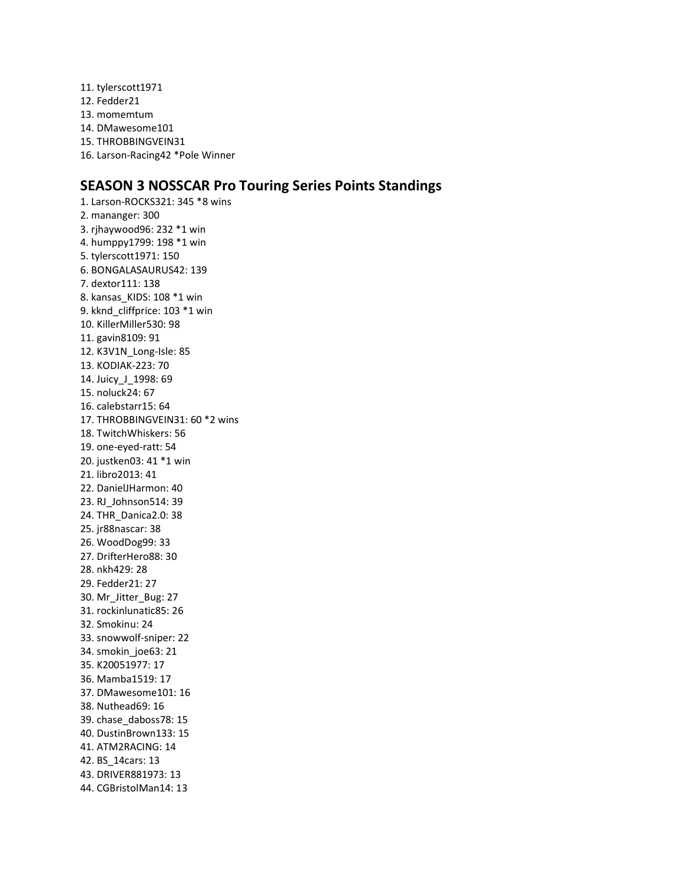11. tylerscott1971 12. Fedder21 13. momemtum 14. DMawesome101 15. THROBBINGVEIN31 16. Larson-Racing42 \*Pole Winner

## **SEASON 3 NOSSCAR Pro Touring Series Points Standings**

1. Larson-ROCKS321: 345 \*8 wins 2. mananger: 300 3. rjhaywood96: 232 \*1 win 4. humppy1799: 198 \*1 win 5. tylerscott1971: 150 6. BONGALASAURUS42: 139 7. dextor111: 138 8. kansas\_KIDS: 108 \*1 win 9. kknd\_cliffprice: 103 \*1 win 10. KillerMiller530: 98 11. gavin8109: 91 12. K3V1N\_Long-Isle: 85 13. KODIAK-223: 70 14. Juicy\_J\_1998: 69 15. noluck24: 67 16. calebstarr15: 64 17. THROBBINGVEIN31: 60 \*2 wins 18. TwitchWhiskers: 56 19. one-eyed-ratt: 54 20. justken03: 41 \*1 win 21. libro2013: 41 22. DanielJHarmon: 40 23. RJ\_Johnson514: 39 24. THR\_Danica2.0: 38 25. jr88nascar: 38 26. WoodDog99: 33 27. DrifterHero88: 30 28. nkh429: 28 29. Fedder21: 27 30. Mr\_Jitter\_Bug: 27 31. rockinlunatic85: 26 32. Smokinu: 24 33. snowwolf-sniper: 22 34. smokin\_joe63: 21 35. K20051977: 17 36. Mamba1519: 17 37. DMawesome101: 16 38. Nuthead69: 16 39. chase\_daboss78: 15 40. DustinBrown133: 15 41. ATM2RACING: 14 42. BS\_14cars: 13 43. DRIVER881973: 13 44. CGBristolMan14: 13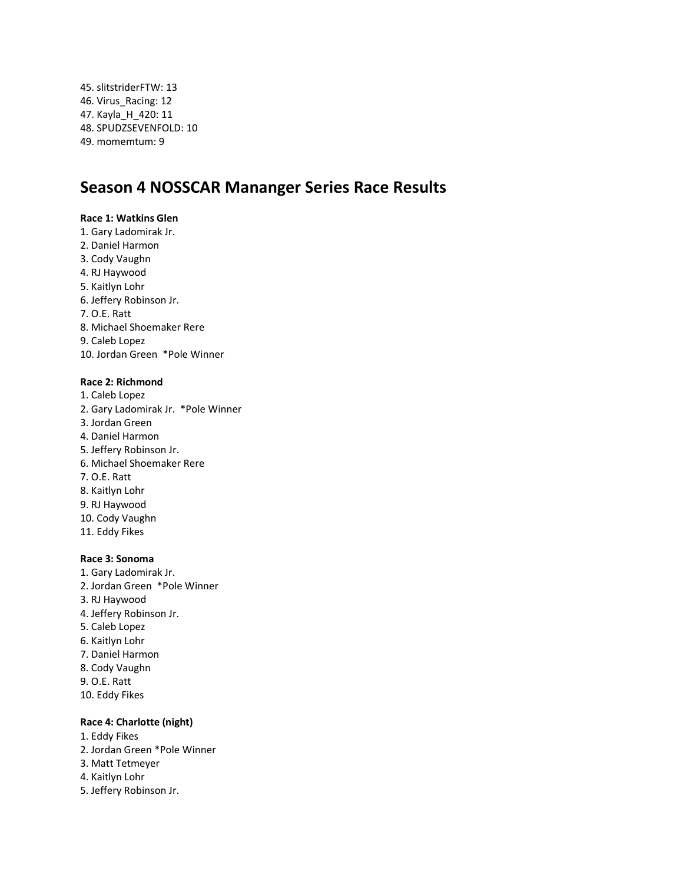45. slitstriderFTW: 13 46. Virus\_Racing: 12 47. Kayla\_H\_420: 11 48. SPUDZSEVENFOLD: 10 49. momemtum: 9

# **Season 4 NOSSCAR Mananger Series Race Results**

### **Race 1: Watkins Glen**

- 1. Gary Ladomirak Jr.
- 2. Daniel Harmon
- 3. Cody Vaughn
- 4. RJ Haywood
- 5. Kaitlyn Lohr
- 6. Jeffery Robinson Jr.
- 7. O.E. Ratt
- 8. Michael Shoemaker Rere
- 9. Caleb Lopez

10. Jordan Green \*Pole Winner

## **Race 2: Richmond**

- 1. Caleb Lopez
- 2. Gary Ladomirak Jr. \*Pole Winner
- 3. Jordan Green
- 4. Daniel Harmon
- 5. Jeffery Robinson Jr.
- 6. Michael Shoemaker Rere
- 7. O.E. Ratt
- 8. Kaitlyn Lohr
- 9. RJ Haywood
- 10. Cody Vaughn
- 11. Eddy Fikes

### **Race 3: Sonoma**

- 1. Gary Ladomirak Jr. 2. Jordan Green \*Pole Winner
- 3. RJ Haywood
- 4. Jeffery Robinson Jr.
- 5. Caleb Lopez
- 6. Kaitlyn Lohr
- 7. Daniel Harmon
- 8. Cody Vaughn
- 9. O.E. Ratt
- 10. Eddy Fikes

### **Race 4: Charlotte (night)**

- 1. Eddy Fikes
- 2. Jordan Green \*Pole Winner
- 3. Matt Tetmeyer
- 4. Kaitlyn Lohr
- 5. Jeffery Robinson Jr.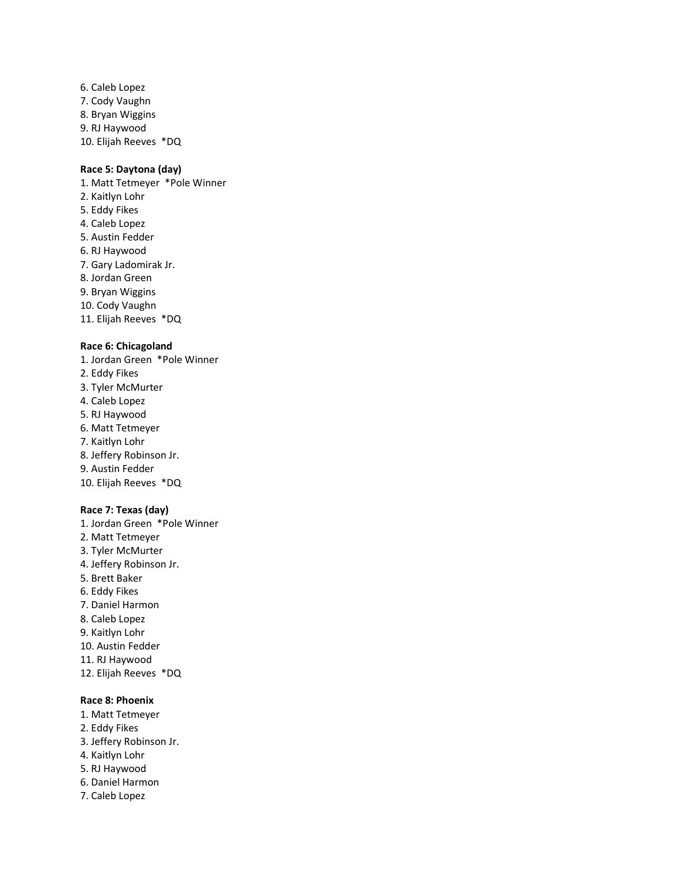6. Caleb Lopez 7. Cody Vaughn 8. Bryan Wiggins 9. RJ Haywood 10. Elijah Reeves \*DQ

## **Race 5: Daytona (day)**

1. Matt Tetmeyer \*Pole Winner 2. Kaitlyn Lohr 5. Eddy Fikes 4. Caleb Lopez 5. Austin Fedder 6. RJ Haywood 7. Gary Ladomirak Jr. 8. Jordan Green 9. Bryan Wiggins 10. Cody Vaughn 11. Elijah Reeves \*DQ

## **Race 6: Chicagoland**

- 1. Jordan Green \*Pole Winner 2. Eddy Fikes 3. Tyler McMurter 4. Caleb Lopez 5. RJ Haywood 6. Matt Tetmeyer 7. Kaitlyn Lohr 8. Jeffery Robinson Jr. 9. Austin Fedder 10. Elijah Reeves \*DQ **Race 7: Texas (day)** 1. Jordan Green \*Pole Winner 2. Matt Tetmeyer
- 3. Tyler McMurter 4. Jeffery Robinson Jr. 5. Brett Baker 6. Eddy Fikes 7. Daniel Harmon 8. Caleb Lopez 9. Kaitlyn Lohr 10. Austin Fedder 11. RJ Haywood 12. Elijah Reeves \*DQ

## **Race 8: Phoenix**

- 1. Matt Tetmeyer 2. Eddy Fikes 3. Jeffery Robinson Jr.
- 4. Kaitlyn Lohr
- 5. RJ Haywood
- 6. Daniel Harmon
- 7. Caleb Lopez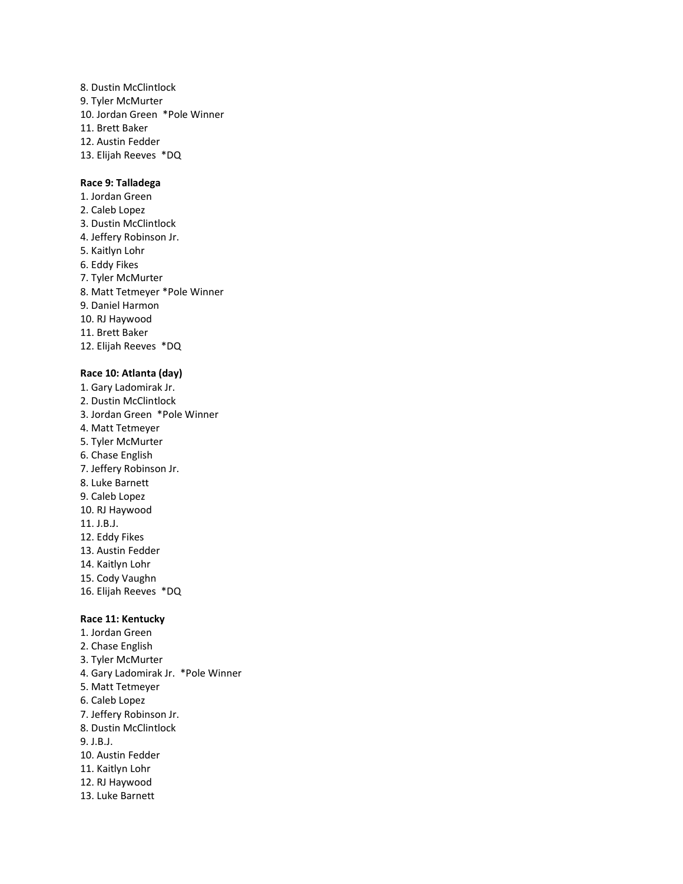8. Dustin McClintlock 9. Tyler McMurter 10. Jordan Green \*Pole Winner 11. Brett Baker 12. Austin Fedder 13. Elijah Reeves \*DQ

#### **Race 9: Talladega**

1. Jordan Green 2. Caleb Lopez 3. Dustin McClintlock 4. Jeffery Robinson Jr. 5. Kaitlyn Lohr 6. Eddy Fikes 7. Tyler McMurter 8. Matt Tetmeyer \*Pole Winner 9. Daniel Harmon 10. RJ Haywood 11. Brett Baker 12. Elijah Reeves \*DQ

#### **Race 10: Atlanta (day)**

1. Gary Ladomirak Jr. 2. Dustin McClintlock 3. Jordan Green \*Pole Winner 4. Matt Tetmeyer 5. Tyler McMurter 6. Chase English 7. Jeffery Robinson Jr. 8. Luke Barnett 9. Caleb Lopez 10. RJ Haywood 11. J.B.J. 12. Eddy Fikes 13. Austin Fedder 14. Kaitlyn Lohr 15. Cody Vaughn 16. Elijah Reeves \*DQ

## **Race 11: Kentucky**

1. Jordan Green 2. Chase English 3. Tyler McMurter 4. Gary Ladomirak Jr. \*Pole Winner 5. Matt Tetmeyer 6. Caleb Lopez 7. Jeffery Robinson Jr. 8. Dustin McClintlock 9. J.B.J. 10. Austin Fedder 11. Kaitlyn Lohr 12. RJ Haywood 13. Luke Barnett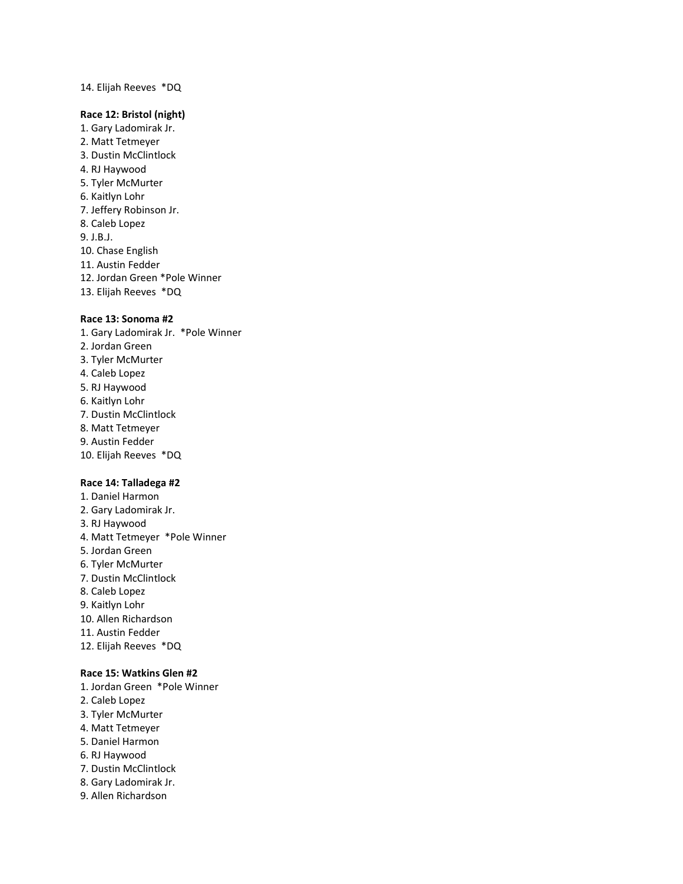## 14. Elijah Reeves \*DQ

### **Race 12: Bristol (night)**

- 1. Gary Ladomirak Jr.
- 2. Matt Tetmeyer
- 3. Dustin McClintlock
- 4. RJ Haywood
- 5. Tyler McMurter
- 6. Kaitlyn Lohr
- 7. Jeffery Robinson Jr.
- 8. Caleb Lopez
- 9. J.B.J.
- 10. Chase English
- 11. Austin Fedder
- 12. Jordan Green \*Pole Winner
- 13. Elijah Reeves \*DQ

#### **Race 13: Sonoma #2**

- 1. Gary Ladomirak Jr. \*Pole Winner 2. Jordan Green
- 3. Tyler McMurter
- 4. Caleb Lopez
- 5. RJ Haywood
- 6. Kaitlyn Lohr
- 7. Dustin McClintlock
- 8. Matt Tetmeyer
- 9. Austin Fedder
- 10. Elijah Reeves \*DQ

#### **Race 14: Talladega #2**

- 1. Daniel Harmon 2. Gary Ladomirak Jr. 3. RJ Haywood 4. Matt Tetmeyer \*Pole Winner 5. Jordan Green 6. Tyler McMurter 7. Dustin McClintlock 8. Caleb Lopez 9. Kaitlyn Lohr 10. Allen Richardson 11. Austin Fedder
- 12. Elijah Reeves \*DQ

### **Race 15: Watkins Glen #2**

- 1. Jordan Green \*Pole Winner
- 2. Caleb Lopez
- 3. Tyler McMurter
- 4. Matt Tetmeyer
- 5. Daniel Harmon
- 6. RJ Haywood
- 7. Dustin McClintlock
- 8. Gary Ladomirak Jr.
- 9. Allen Richardson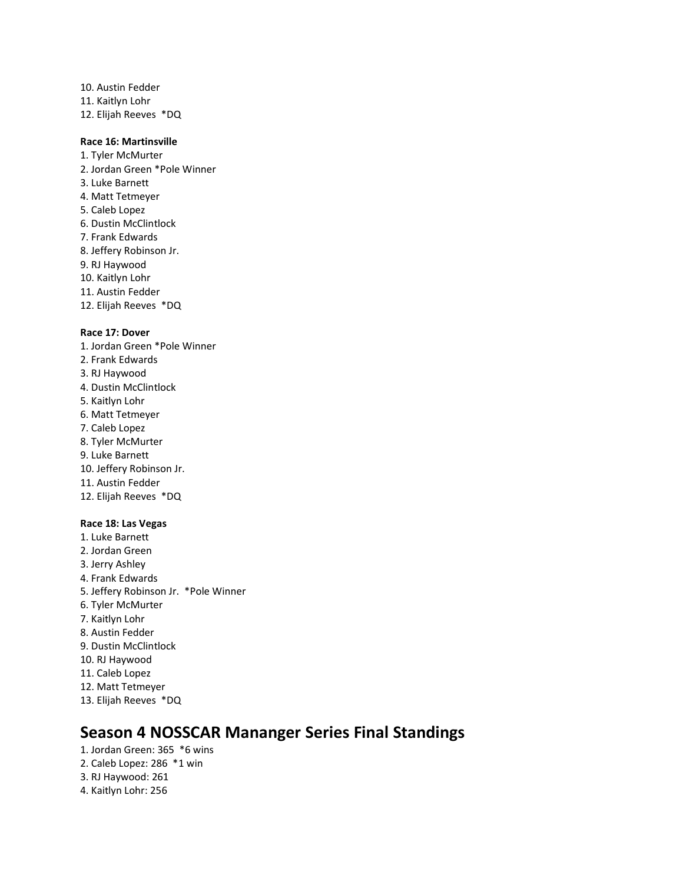10. Austin Fedder 11. Kaitlyn Lohr 12. Elijah Reeves \*DQ

### **Race 16: Martinsville**

1. Tyler McMurter 2. Jordan Green \*Pole Winner 3. Luke Barnett 4. Matt Tetmeyer 5. Caleb Lopez 6. Dustin McClintlock 7. Frank Edwards 8. Jeffery Robinson Jr. 9. RJ Haywood 10. Kaitlyn Lohr 11. Austin Fedder 12. Elijah Reeves \*DQ

#### **Race 17: Dover**

1. Jordan Green \*Pole Winner 2. Frank Edwards 3. RJ Haywood 4. Dustin McClintlock 5. Kaitlyn Lohr 6. Matt Tetmeyer 7. Caleb Lopez 8. Tyler McMurter 9. Luke Barnett 10. Jeffery Robinson Jr. 11. Austin Fedder 12. Elijah Reeves \*DQ

### **Race 18: Las Vegas**

1. Luke Barnett 2. Jordan Green 3. Jerry Ashley 4. Frank Edwards 5. Jeffery Robinson Jr. \*Pole Winner 6. Tyler McMurter 7. Kaitlyn Lohr 8. Austin Fedder 9. Dustin McClintlock 10. RJ Haywood 11. Caleb Lopez 12. Matt Tetmeyer 13. Elijah Reeves \*DQ

# **Season 4 NOSSCAR Mananger Series Final Standings**

1. Jordan Green: 365 \*6 wins 2. Caleb Lopez: 286 \*1 win 3. RJ Haywood: 261 4. Kaitlyn Lohr: 256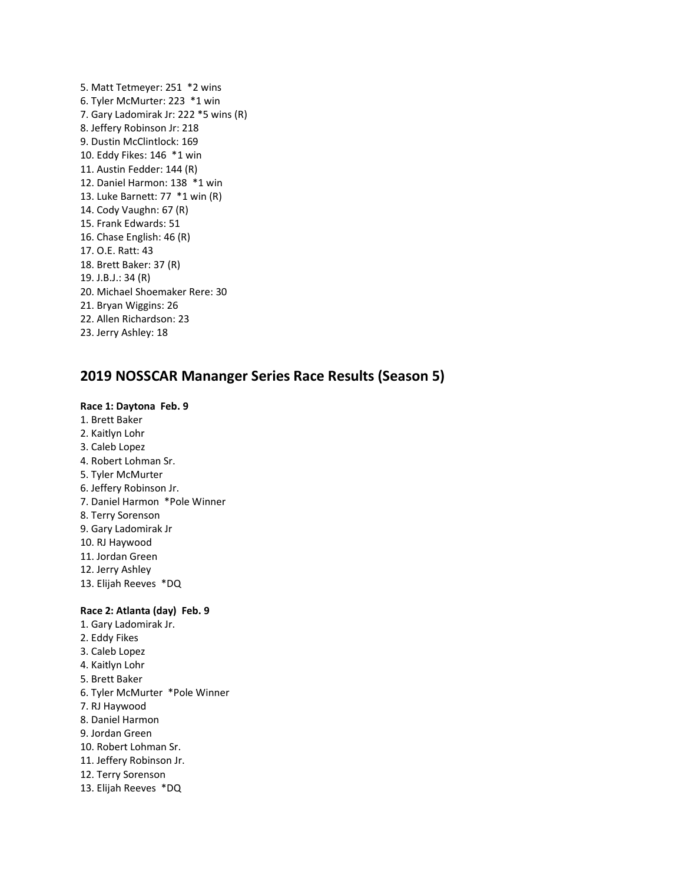5. Matt Tetmeyer: 251 \*2 wins 6. Tyler McMurter: 223 \*1 win 7. Gary Ladomirak Jr: 222 \*5 wins (R) 8. Jeffery Robinson Jr: 218 9. Dustin McClintlock: 169 10. Eddy Fikes: 146 \*1 win 11. Austin Fedder: 144 (R) 12. Daniel Harmon: 138 \*1 win 13. Luke Barnett: 77 \*1 win (R) 14. Cody Vaughn: 67 (R) 15. Frank Edwards: 51 16. Chase English: 46 (R) 17. O.E. Ratt: 43 18. Brett Baker: 37 (R) 19. J.B.J.: 34 (R) 20. Michael Shoemaker Rere: 30 21. Bryan Wiggins: 26 22. Allen Richardson: 23 23. Jerry Ashley: 18

## **2019 NOSSCAR Mananger Series Race Results (Season 5)**

#### **Race 1: Daytona Feb. 9**

- 1. Brett Baker
- 2. Kaitlyn Lohr
- 3. Caleb Lopez
- 4. Robert Lohman Sr.
- 5. Tyler McMurter
- 6. Jeffery Robinson Jr.
- 7. Daniel Harmon \*Pole Winner
- 8. Terry Sorenson
- 9. Gary Ladomirak Jr
- 10. RJ Haywood
- 11. Jordan Green
- 12. Jerry Ashley
- 13. Elijah Reeves \*DQ

#### **Race 2: Atlanta (day) Feb. 9**

- 1. Gary Ladomirak Jr.
- 2. Eddy Fikes
- 3. Caleb Lopez
- 4. Kaitlyn Lohr
- 5. Brett Baker
- 6. Tyler McMurter \*Pole Winner
- 7. RJ Haywood
- 8. Daniel Harmon
- 9. Jordan Green
- 10. Robert Lohman Sr.
- 11. Jeffery Robinson Jr.
- 12. Terry Sorenson
- 13. Elijah Reeves \*DQ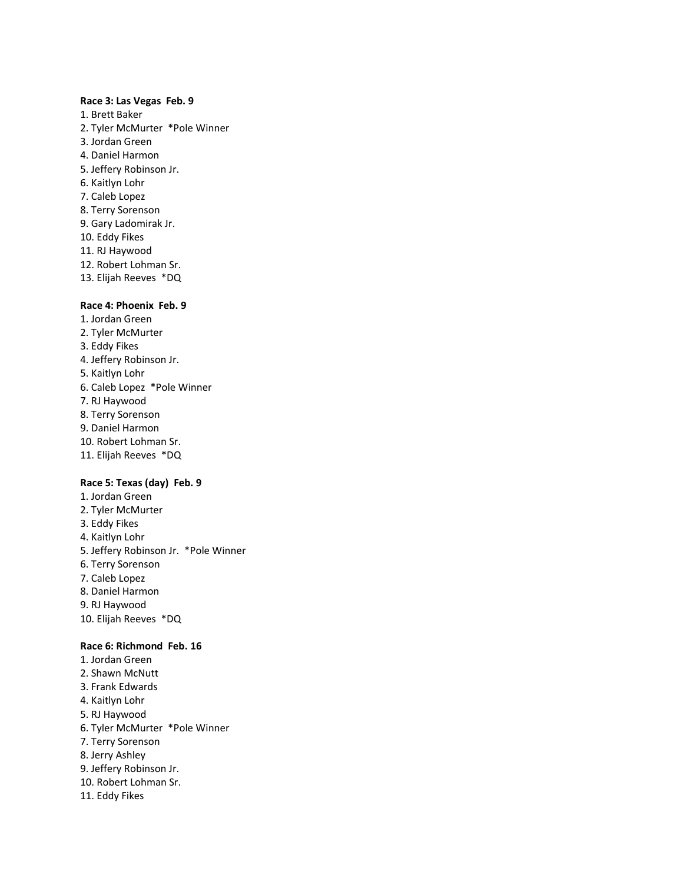#### **Race 3: Las Vegas Feb. 9**

1. Brett Baker 2. Tyler McMurter \*Pole Winner 3. Jordan Green 4. Daniel Harmon 5. Jeffery Robinson Jr. 6. Kaitlyn Lohr 7. Caleb Lopez 8. Terry Sorenson 9. Gary Ladomirak Jr. 10. Eddy Fikes 11. RJ Haywood 12. Robert Lohman Sr. 13. Elijah Reeves \*DQ

#### **Race 4: Phoenix Feb. 9**

- 1. Jordan Green
- 2. Tyler McMurter
- 3. Eddy Fikes
- 4. Jeffery Robinson Jr.
- 5. Kaitlyn Lohr
- 6. Caleb Lopez \*Pole Winner
- 7. RJ Haywood
- 8. Terry Sorenson
- 9. Daniel Harmon
- 10. Robert Lohman Sr.
- 11. Elijah Reeves \*DQ

### **Race 5: Texas (day) Feb. 9**

1. Jordan Green 2. Tyler McMurter 3. Eddy Fikes 4. Kaitlyn Lohr 5. Jeffery Robinson Jr. \*Pole Winner 6. Terry Sorenson 7. Caleb Lopez 8. Daniel Harmon 9. RJ Haywood 10. Elijah Reeves \*DQ

### **Race 6: Richmond Feb. 16**

1. Jordan Green 2. Shawn McNutt 3. Frank Edwards 4. Kaitlyn Lohr 5. RJ Haywood 6. Tyler McMurter \*Pole Winner 7. Terry Sorenson 8. Jerry Ashley 9. Jeffery Robinson Jr. 10. Robert Lohman Sr. 11. Eddy Fikes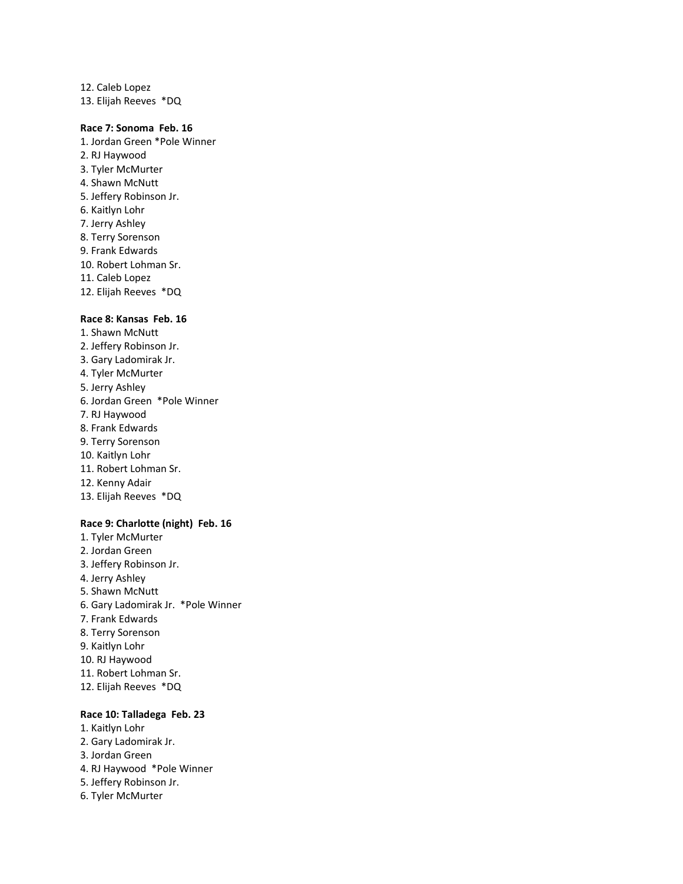12. Caleb Lopez 13. Elijah Reeves \*DQ

### **Race 7: Sonoma Feb. 16**

- 1. Jordan Green \*Pole Winner 2. RJ Haywood 3. Tyler McMurter 4. Shawn McNutt 5. Jeffery Robinson Jr. 6. Kaitlyn Lohr 7. Jerry Ashley 8. Terry Sorenson 9. Frank Edwards 10. Robert Lohman Sr.
- 11. Caleb Lopez
- 12. Elijah Reeves \*DQ

#### **Race 8: Kansas Feb. 16**

1. Shawn McNutt 2. Jeffery Robinson Jr. 3. Gary Ladomirak Jr. 4. Tyler McMurter 5. Jerry Ashley 6. Jordan Green \*Pole Winner 7. RJ Haywood 8. Frank Edwards 9. Terry Sorenson 10. Kaitlyn Lohr 11. Robert Lohman Sr. 12. Kenny Adair 13. Elijah Reeves \*DQ

#### **Race 9: Charlotte (night) Feb. 16**

1. Tyler McMurter 2. Jordan Green 3. Jeffery Robinson Jr. 4. Jerry Ashley 5. Shawn McNutt 6. Gary Ladomirak Jr. \*Pole Winner 7. Frank Edwards 8. Terry Sorenson 9. Kaitlyn Lohr 10. RJ Haywood 11. Robert Lohman Sr. 12. Elijah Reeves \*DQ

#### **Race 10: Talladega Feb. 23**

- 1. Kaitlyn Lohr 2. Gary Ladomirak Jr. 3. Jordan Green 4. RJ Haywood \*Pole Winner 5. Jeffery Robinson Jr.
- 6. Tyler McMurter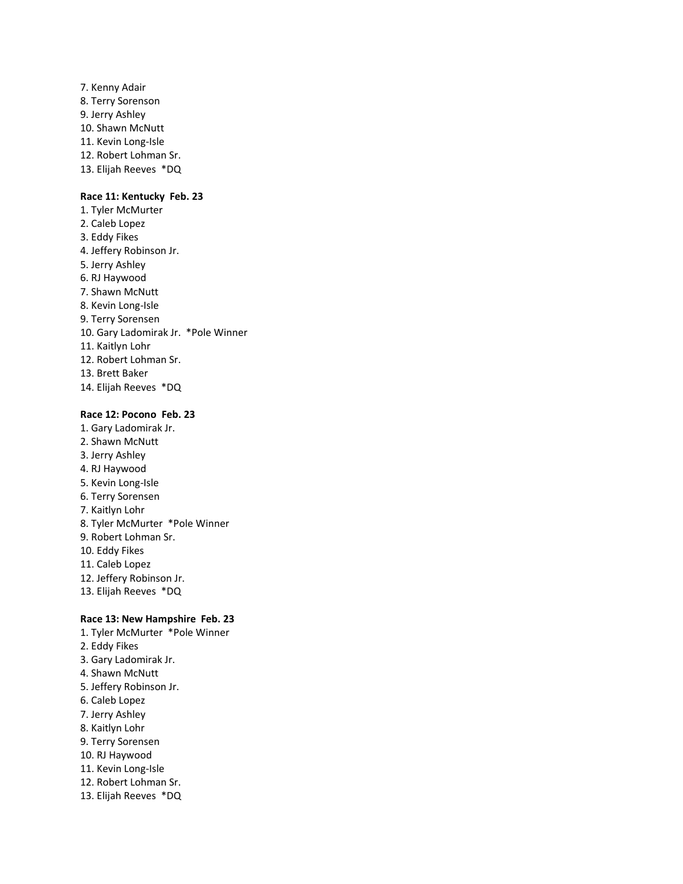7. Kenny Adair 8. Terry Sorenson 9. Jerry Ashley 10. Shawn McNutt 11. Kevin Long-Isle 12. Robert Lohman Sr. 13. Elijah Reeves \*DQ

#### **Race 11: Kentucky Feb. 23**

1. Tyler McMurter 2. Caleb Lopez 3. Eddy Fikes 4. Jeffery Robinson Jr. 5. Jerry Ashley 6. RJ Haywood 7. Shawn McNutt 8. Kevin Long-Isle 9. Terry Sorensen 10. Gary Ladomirak Jr. \*Pole Winner 11. Kaitlyn Lohr 12. Robert Lohman Sr. 13. Brett Baker 14. Elijah Reeves \*DQ

### **Race 12: Pocono Feb. 23**

- 1. Gary Ladomirak Jr.
- 2. Shawn McNutt
- 3. Jerry Ashley
- 4. RJ Haywood
- 5. Kevin Long-Isle
- 6. Terry Sorensen
- 7. Kaitlyn Lohr
- 8. Tyler McMurter \*Pole Winner
- 9. Robert Lohman Sr.
- 10. Eddy Fikes
- 11. Caleb Lopez
- 12. Jeffery Robinson Jr.
- 13. Elijah Reeves \*DQ

#### **Race 13: New Hampshire Feb. 23**

1. Tyler McMurter \*Pole Winner 2. Eddy Fikes 3. Gary Ladomirak Jr. 4. Shawn McNutt 5. Jeffery Robinson Jr. 6. Caleb Lopez 7. Jerry Ashley 8. Kaitlyn Lohr 9. Terry Sorensen 10. RJ Haywood 11. Kevin Long-Isle 12. Robert Lohman Sr. 13. Elijah Reeves \*DQ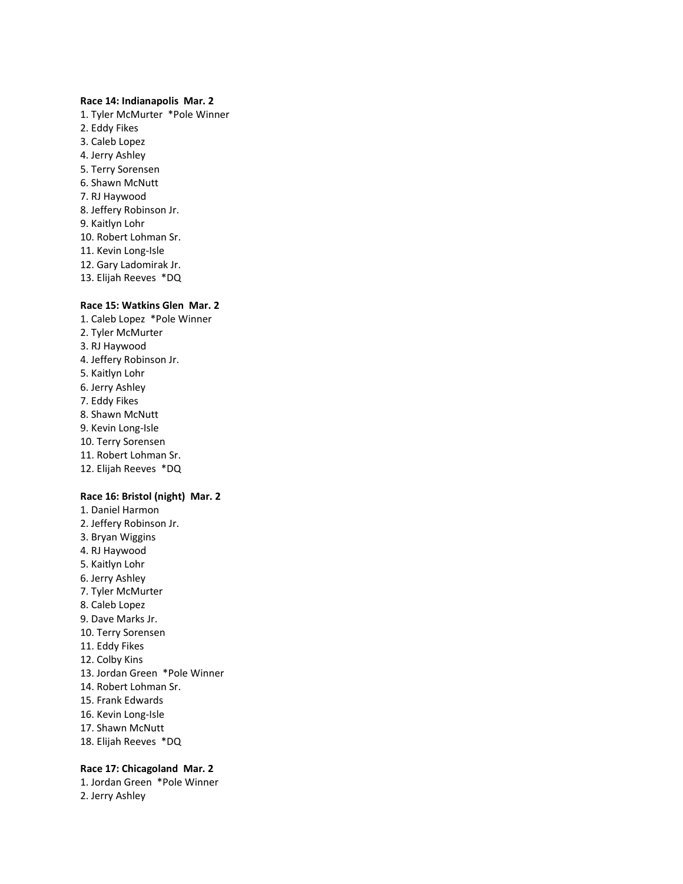#### **Race 14: Indianapolis Mar. 2**

1. Tyler McMurter \*Pole Winner 2. Eddy Fikes 3. Caleb Lopez 4. Jerry Ashley 5. Terry Sorensen 6. Shawn McNutt 7. RJ Haywood 8. Jeffery Robinson Jr. 9. Kaitlyn Lohr 10. Robert Lohman Sr. 11. Kevin Long-Isle 12. Gary Ladomirak Jr. 13. Elijah Reeves \*DQ

## **Race 15: Watkins Glen Mar. 2**

- 1. Caleb Lopez \*Pole Winner 2. Tyler McMurter 3. RJ Haywood 4. Jeffery Robinson Jr. 5. Kaitlyn Lohr 6. Jerry Ashley 7. Eddy Fikes 8. Shawn McNutt 9. Kevin Long-Isle 10. Terry Sorensen 11. Robert Lohman Sr. 12. Elijah Reeves \*DQ **Race 16: Bristol (night) Mar. 2** 1. Daniel Harmon
- 2. Jeffery Robinson Jr. 3. Bryan Wiggins 4. RJ Haywood 5. Kaitlyn Lohr 6. Jerry Ashley 7. Tyler McMurter 8. Caleb Lopez 9. Dave Marks Jr. 10. Terry Sorensen 11. Eddy Fikes 12. Colby Kins 13. Jordan Green \*Pole Winner 14. Robert Lohman Sr. 15. Frank Edwards 16. Kevin Long-Isle 17. Shawn McNutt 18. Elijah Reeves \*DQ

## **Race 17: Chicagoland Mar. 2**

1. Jordan Green \*Pole Winner 2. Jerry Ashley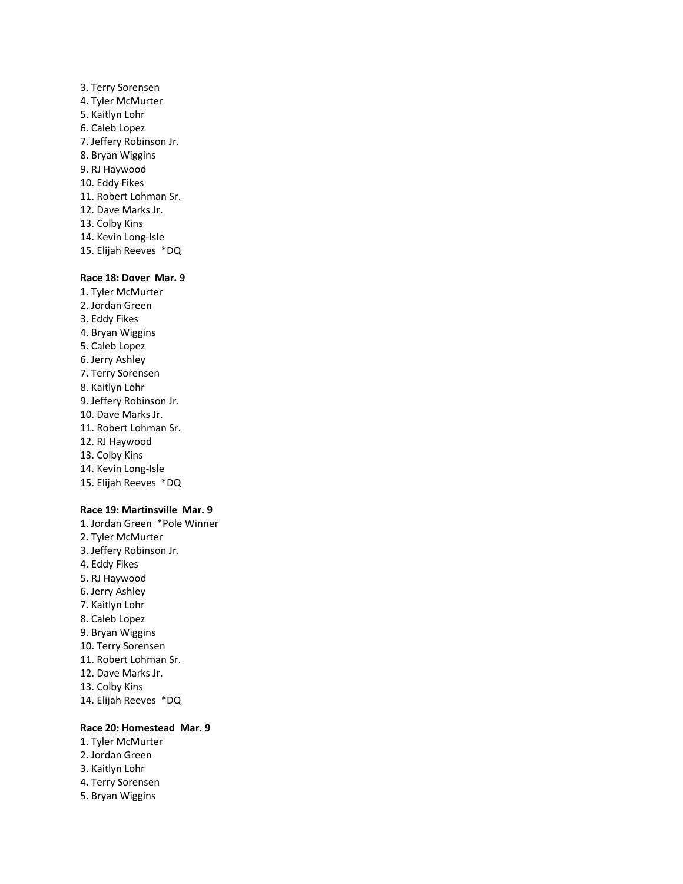- 3. Terry Sorensen 4. Tyler McMurter 5. Kaitlyn Lohr 6. Caleb Lopez 7. Jeffery Robinson Jr. 8. Bryan Wiggins 9. RJ Haywood 10. Eddy Fikes 11. Robert Lohman Sr. 12. Dave Marks Jr. 13. Colby Kins 14. Kevin Long-Isle
- 15. Elijah Reeves \*DQ

## **Race 18: Dover Mar. 9**

- 1. Tyler McMurter
- 2. Jordan Green
- 3. Eddy Fikes
- 4. Bryan Wiggins
- 5. Caleb Lopez
- 6. Jerry Ashley
- 7. Terry Sorensen
- 8. Kaitlyn Lohr
- 9. Jeffery Robinson Jr.
- 10. Dave Marks Jr.
- 11. Robert Lohman Sr.
- 12. RJ Haywood
- 13. Colby Kins
- 14. Kevin Long-Isle
- 15. Elijah Reeves \*DQ

#### **Race 19: Martinsville Mar. 9**

1. Jordan Green \*Pole Winner 2. Tyler McMurter 3. Jeffery Robinson Jr. 4. Eddy Fikes 5. RJ Haywood 6. Jerry Ashley 7. Kaitlyn Lohr 8. Caleb Lopez 9. Bryan Wiggins 10. Terry Sorensen 11. Robert Lohman Sr. 12. Dave Marks Jr. 13. Colby Kins

# 14. Elijah Reeves \*DQ

## **Race 20: Homestead Mar. 9**

- 1. Tyler McMurter
- 2. Jordan Green
- 3. Kaitlyn Lohr
- 4. Terry Sorensen
- 5. Bryan Wiggins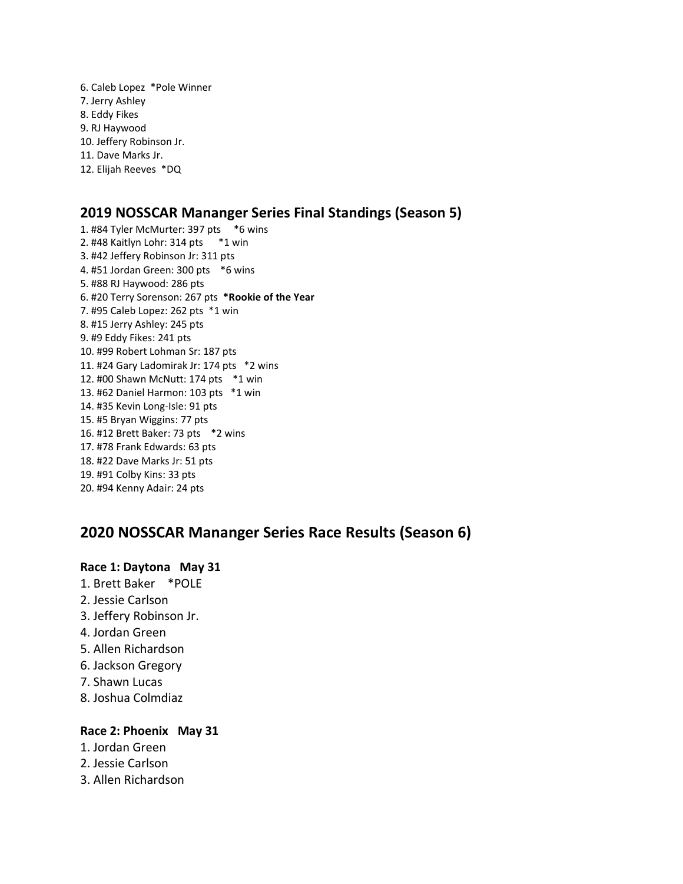6. Caleb Lopez \*Pole Winner 7. Jerry Ashley 8. Eddy Fikes 9. RJ Haywood 10. Jeffery Robinson Jr. 11. Dave Marks Jr. 12. Elijah Reeves \*DQ

# **2019 NOSSCAR Mananger Series Final Standings (Season 5)**

1. #84 Tyler McMurter: 397 pts \*6 wins 2. #48 Kaitlyn Lohr: 314 pts \*1 win 3. #42 Jeffery Robinson Jr: 311 pts 4. #51 Jordan Green: 300 pts \*6 wins 5. #88 RJ Haywood: 286 pts 6. #20 Terry Sorenson: 267 pts **\*Rookie of the Year** 7. #95 Caleb Lopez: 262 pts \*1 win 8. #15 Jerry Ashley: 245 pts 9. #9 Eddy Fikes: 241 pts 10. #99 Robert Lohman Sr: 187 pts 11. #24 Gary Ladomirak Jr: 174 pts \*2 wins 12. #00 Shawn McNutt: 174 pts \*1 win 13. #62 Daniel Harmon: 103 pts \*1 win 14. #35 Kevin Long-Isle: 91 pts 15. #5 Bryan Wiggins: 77 pts 16. #12 Brett Baker: 73 pts \*2 wins 17. #78 Frank Edwards: 63 pts 18. #22 Dave Marks Jr: 51 pts 19. #91 Colby Kins: 33 pts 20. #94 Kenny Adair: 24 pts

# **2020 NOSSCAR Mananger Series Race Results (Season 6)**

## **Race 1: Daytona May 31**

- 1. Brett Baker \*POLE
- 2. Jessie Carlson
- 3. Jeffery Robinson Jr.
- 4. Jordan Green
- 5. Allen Richardson
- 6. Jackson Gregory
- 7. Shawn Lucas
- 8. Joshua Colmdiaz

## **Race 2: Phoenix May 31**

- 1. Jordan Green
- 2. Jessie Carlson
- 3. Allen Richardson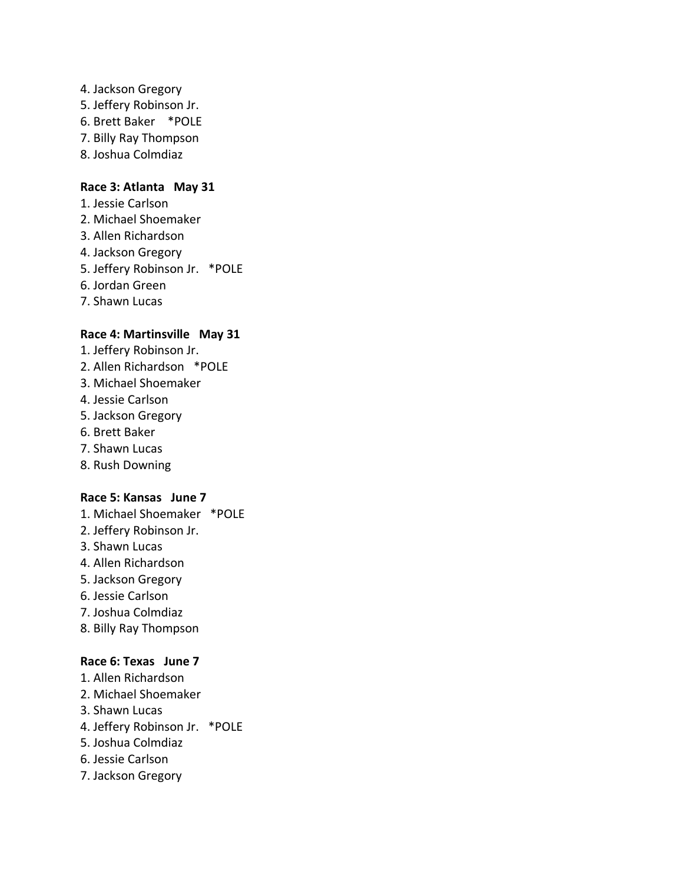- 4. Jackson Gregory
- 5. Jeffery Robinson Jr.
- 6. Brett Baker \*POLE
- 7. Billy Ray Thompson
- 8. Joshua Colmdiaz

## **Race 3: Atlanta May 31**

- 1. Jessie Carlson
- 2. Michael Shoemaker
- 3. Allen Richardson
- 4. Jackson Gregory
- 5. Jeffery Robinson Jr. \*POLE
- 6. Jordan Green
- 7. Shawn Lucas

## **Race 4: Martinsville May 31**

- 1. Jeffery Robinson Jr.
- 2. Allen Richardson \*POLE
- 3. Michael Shoemaker
- 4. Jessie Carlson
- 5. Jackson Gregory
- 6. Brett Baker
- 7. Shawn Lucas
- 8. Rush Downing

## **Race 5: Kansas June 7**

- 1. Michael Shoemaker \*POLE
- 2. Jeffery Robinson Jr.
- 3. Shawn Lucas
- 4. Allen Richardson
- 5. Jackson Gregory
- 6. Jessie Carlson
- 7. Joshua Colmdiaz
- 8. Billy Ray Thompson

## **Race 6: Texas June 7**

- 1. Allen Richardson
- 2. Michael Shoemaker
- 3. Shawn Lucas
- 4. Jeffery Robinson Jr. \*POLE
- 5. Joshua Colmdiaz
- 6. Jessie Carlson
- 7. Jackson Gregory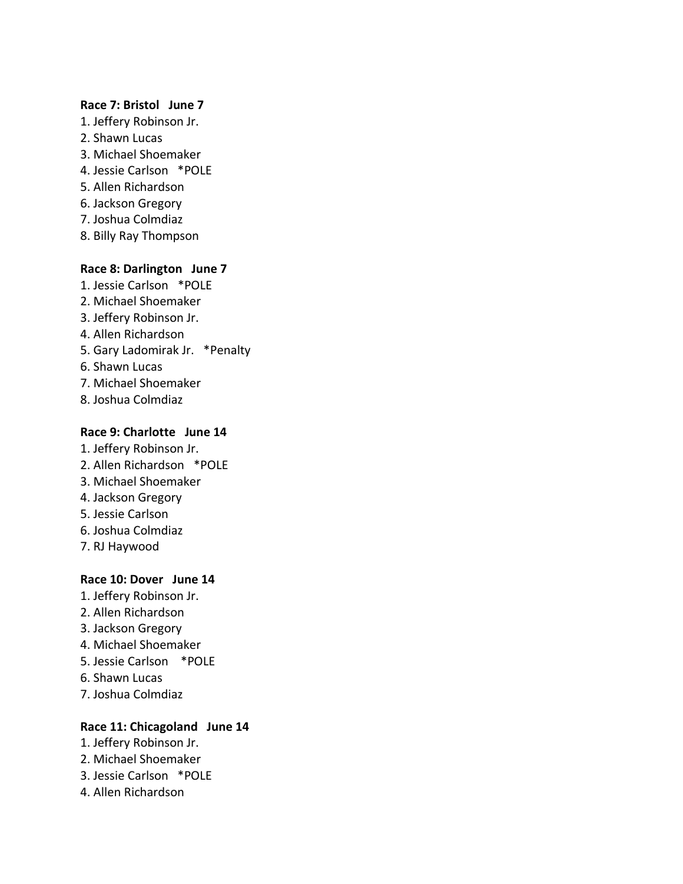## **Race 7: Bristol June 7**

- 1. Jeffery Robinson Jr.
- 2. Shawn Lucas
- 3. Michael Shoemaker
- 4. Jessie Carlson \*POLE
- 5. Allen Richardson
- 6. Jackson Gregory
- 7. Joshua Colmdiaz
- 8. Billy Ray Thompson

## **Race 8: Darlington June 7**

- 1. Jessie Carlson \*POLE
- 2. Michael Shoemaker
- 3. Jeffery Robinson Jr.
- 4. Allen Richardson
- 5. Gary Ladomirak Jr. \*Penalty
- 6. Shawn Lucas
- 7. Michael Shoemaker
- 8. Joshua Colmdiaz

## **Race 9: Charlotte June 14**

- 1. Jeffery Robinson Jr.
- 2. Allen Richardson \*POLE
- 3. Michael Shoemaker
- 4. Jackson Gregory
- 5. Jessie Carlson
- 6. Joshua Colmdiaz
- 7. RJ Haywood

## **Race 10: Dover June 14**

- 1. Jeffery Robinson Jr.
- 2. Allen Richardson
- 3. Jackson Gregory
- 4. Michael Shoemaker
- 5. Jessie Carlson \*POLE
- 6. Shawn Lucas
- 7. Joshua Colmdiaz

## **Race 11: Chicagoland June 14**

- 1. Jeffery Robinson Jr.
- 2. Michael Shoemaker
- 3. Jessie Carlson \*POLE
- 4. Allen Richardson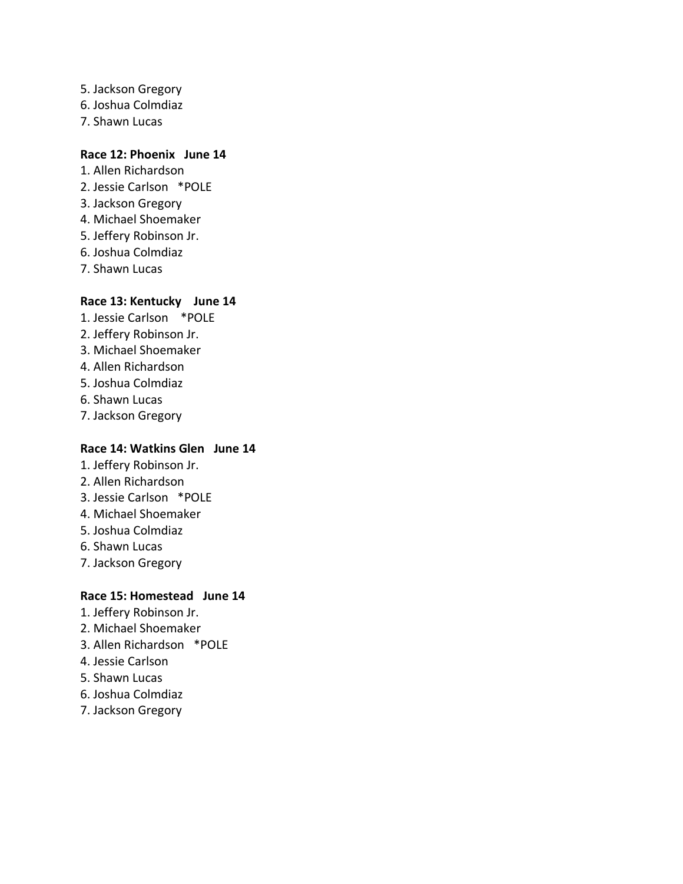- 5. Jackson Gregory
- 6. Joshua Colmdiaz
- 7. Shawn Lucas

## **Race 12: Phoenix June 14**

- 1. Allen Richardson
- 2. Jessie Carlson \*POLE
- 3. Jackson Gregory
- 4. Michael Shoemaker
- 5. Jeffery Robinson Jr.
- 6. Joshua Colmdiaz
- 7. Shawn Lucas

## **Race 13: Kentucky June 14**

- 1. Jessie Carlson \*POLE
- 2. Jeffery Robinson Jr.
- 3. Michael Shoemaker
- 4. Allen Richardson
- 5. Joshua Colmdiaz
- 6. Shawn Lucas
- 7. Jackson Gregory

## **Race 14: Watkins Glen June 14**

- 1. Jeffery Robinson Jr.
- 2. Allen Richardson
- 3. Jessie Carlson \*POLE
- 4. Michael Shoemaker
- 5. Joshua Colmdiaz
- 6. Shawn Lucas
- 7. Jackson Gregory

## **Race 15: Homestead June 14**

- 1. Jeffery Robinson Jr.
- 2. Michael Shoemaker
- 3. Allen Richardson \*POLE
- 4. Jessie Carlson
- 5. Shawn Lucas
- 6. Joshua Colmdiaz
- 7. Jackson Gregory